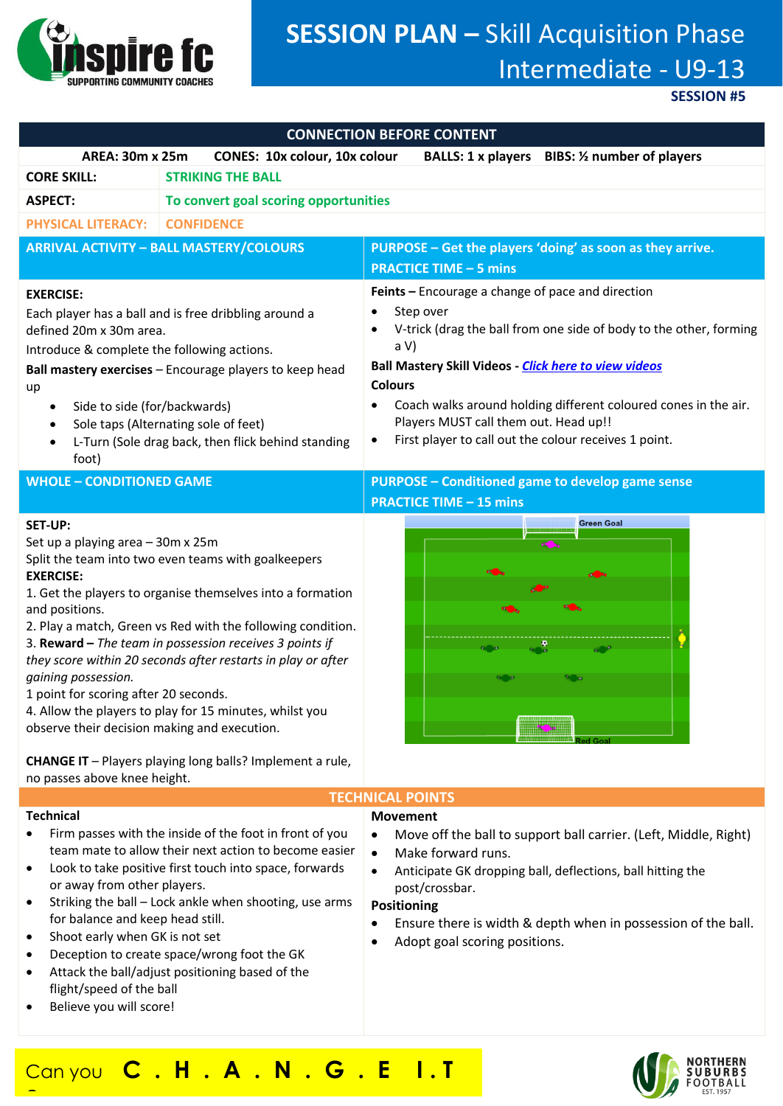

# **SESSION PLAN –** Skill Acquisition Phase Intermediate - U9-13

**SESSION #5**

| <b>CONNECTION BEFORE CONTENT</b>                                                                                                                                                                                                                                                                                                                                 |                                                                                                                                                                                                                                                                                                                                                                        |                                                                                                                                                                                                                                                                                                                                                                                                                 |
|------------------------------------------------------------------------------------------------------------------------------------------------------------------------------------------------------------------------------------------------------------------------------------------------------------------------------------------------------------------|------------------------------------------------------------------------------------------------------------------------------------------------------------------------------------------------------------------------------------------------------------------------------------------------------------------------------------------------------------------------|-----------------------------------------------------------------------------------------------------------------------------------------------------------------------------------------------------------------------------------------------------------------------------------------------------------------------------------------------------------------------------------------------------------------|
| <b>AREA: 30m x 25m</b>                                                                                                                                                                                                                                                                                                                                           | CONES: 10x colour, 10x colour                                                                                                                                                                                                                                                                                                                                          | BALLS: 1 x players BIBS: 1/2 number of players                                                                                                                                                                                                                                                                                                                                                                  |
| <b>CORE SKILL:</b><br><b>STRIKING THE BALL</b>                                                                                                                                                                                                                                                                                                                   |                                                                                                                                                                                                                                                                                                                                                                        |                                                                                                                                                                                                                                                                                                                                                                                                                 |
| <b>ASPECT:</b><br>To convert goal scoring opportunities                                                                                                                                                                                                                                                                                                          |                                                                                                                                                                                                                                                                                                                                                                        |                                                                                                                                                                                                                                                                                                                                                                                                                 |
| <b>PHYSICAL LITERACY:</b>                                                                                                                                                                                                                                                                                                                                        | <b>CONFIDENCE</b>                                                                                                                                                                                                                                                                                                                                                      |                                                                                                                                                                                                                                                                                                                                                                                                                 |
| <b>ARRIVAL ACTIVITY - BALL MASTERY/COLOURS</b>                                                                                                                                                                                                                                                                                                                   |                                                                                                                                                                                                                                                                                                                                                                        | PURPOSE - Get the players 'doing' as soon as they arrive.                                                                                                                                                                                                                                                                                                                                                       |
|                                                                                                                                                                                                                                                                                                                                                                  |                                                                                                                                                                                                                                                                                                                                                                        | <b>PRACTICE TIME - 5 mins</b>                                                                                                                                                                                                                                                                                                                                                                                   |
| <b>EXERCISE:</b><br>Each player has a ball and is free dribbling around a<br>defined 20m x 30m area.<br>Introduce & complete the following actions.<br>Ball mastery exercises - Encourage players to keep head<br>up<br>Side to side (for/backwards)<br>٠<br>Sole taps (Alternating sole of feet)<br>L-Turn (Sole drag back, then flick behind standing<br>foot) |                                                                                                                                                                                                                                                                                                                                                                        | Feints - Encourage a change of pace and direction<br>Step over<br>V-trick (drag the ball from one side of body to the other, forming<br>a V<br><b>Ball Mastery Skill Videos - Click here to view videos</b><br><b>Colours</b><br>Coach walks around holding different coloured cones in the air.<br>Players MUST call them out. Head up!!<br>First player to call out the colour receives 1 point.<br>$\bullet$ |
| <b>WHOLE - CONDITIONED GAME</b>                                                                                                                                                                                                                                                                                                                                  |                                                                                                                                                                                                                                                                                                                                                                        | <b>PURPOSE - Conditioned game to develop game sense</b>                                                                                                                                                                                                                                                                                                                                                         |
|                                                                                                                                                                                                                                                                                                                                                                  |                                                                                                                                                                                                                                                                                                                                                                        | <b>PRACTICE TIME - 15 mins</b>                                                                                                                                                                                                                                                                                                                                                                                  |
| <b>SET-UP:</b><br>Set up a playing area - 30m x 25m<br><b>EXERCISE:</b><br>and positions.<br>gaining possession.<br>1 point for scoring after 20 seconds.<br>observe their decision making and execution.                                                                                                                                                        | Split the team into two even teams with goalkeepers<br>1. Get the players to organise themselves into a formation<br>2. Play a match, Green vs Red with the following condition.<br>3. Reward - The team in possession receives 3 points if<br>they score within 20 seconds after restarts in play or after<br>4. Allow the players to play for 15 minutes, whilst you | <b>Green Goal</b>                                                                                                                                                                                                                                                                                                                                                                                               |
| <b>CHANGE IT</b> - Players playing long balls? Implement a rule,<br>no passes above knee height.<br><b>TEALINIAAL</b>                                                                                                                                                                                                                                            |                                                                                                                                                                                                                                                                                                                                                                        |                                                                                                                                                                                                                                                                                                                                                                                                                 |

#### **Technical**

**?**

- Firm passes with the inside of the foot in front of you team mate to allow their next action to become easier
- Look to take positive first touch into space, forwards or away from other players.
- Striking the ball Lock ankle when shooting, use arms for balance and keep head still.
- Shoot early when GK is not set
- Deception to create space/wrong foot the GK
- Attack the ball/adjust positioning based of the flight/speed of the ball
- Believe you will score!

# **TECHNICAL POINTS**

# **Movement**

- Move off the ball to support ball carrier. (Left, Middle, Right)
- Make forward runs.
- Anticipate GK dropping ball, deflections, ball hitting the post/crossbar.

# **Positioning**

- Ensure there is width & depth when in possession of the ball.
- Adopt goal scoring positions.

# Can you **C . H . A . N . G . E I . T**